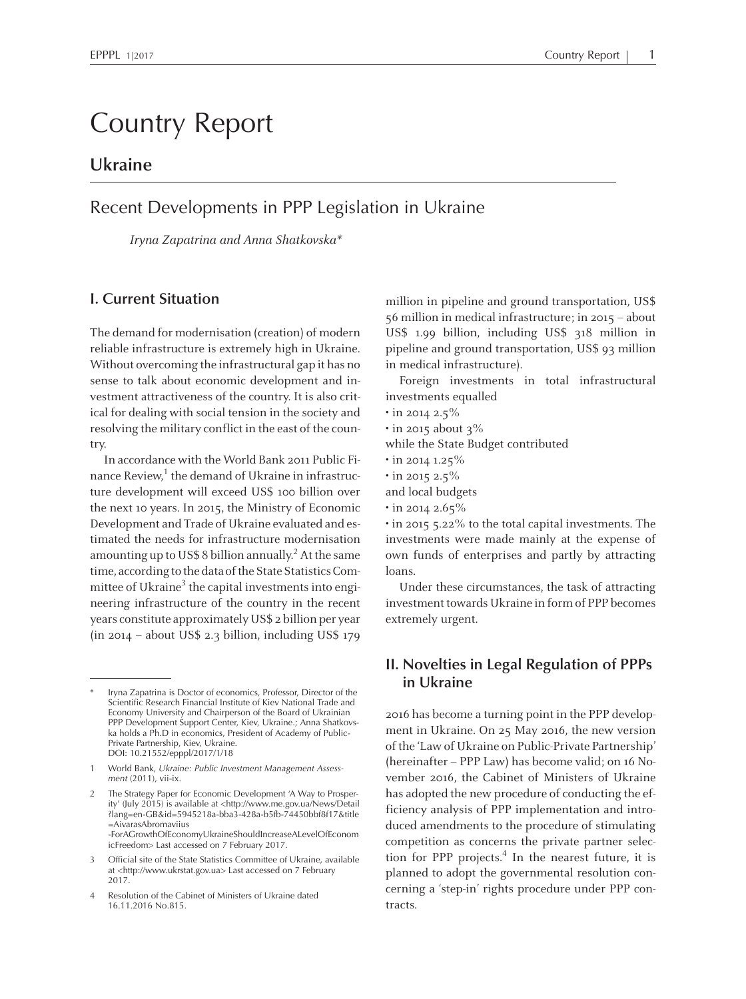# Country Report

# **Ukraine**

# Recent Developments in PPP Legislation in Ukraine

Iryna Zapatrina and Anna Shatkovska\*

### **I. Current Situation**

The demand for modernisation (creation) of modern reliable infrastructure is extremely high in Ukraine. Without overcoming the infrastructural gap it has no sense to talk about economic development and investment attractiveness of the country. It is also critical for dealing with social tension in the society and resolving the military conflict in the east of the country.

In accordance with the World Bank <sup>2011</sup> Public Finance Review,<sup>1</sup> the demand of Ukraine in infrastructure development will exceed US\$ <sup>100</sup> billion over the next <sup>10</sup> years. In 2015, the Ministry of Economic Development and Trade of Ukraine evaluated and estimated the needs for infrastructure modernisation amounting up to US\$ 8 billion annually.<sup>2</sup> At the same time, according to the data of the State Statistics Committee of Ukraine<sup>3</sup> the capital investments into engineering infrastructure of the country in the recent years constitute approximately US\$ <sup>2</sup> billion per year (in 2014 – about US\$ 2.3 billion, including US\$ 179

icFreedom> Last accessed on <sup>7</sup> February 2017.

million in <sup>p</sup>ipeline and ground transportation, US\$ 56million inmedicalinfrastructure; in 2015 – about US\$ 1.99 billion, including US\$ <sup>31</sup><sup>8</sup> million in <sup>p</sup>ipeline and ground transportation, US\$ 93 million in medical infrastructure).

Foreign investments in total infrastructural investments equalled

- in 2014 2.5%
- $\cdot$  in 2015 about 3%

while the State Budget contributed

- in 2014 1.25%
- in 2015 2.5%
- and local budgets
- in 2014 2.65%

• in 2015 5.22% to the total capital investments. The investments were made mainly at the expense of own funds of enterprises and partly by attracting loans.

Under these circumstances, the task of attracting investment towards Ukraine in formof PPP becomes extremely urgent.

## **II. Novelties in Legal Regulation of PPPs in Ukraine**

<sup>2016</sup> has become <sup>a</sup> turning point in the PPP development in Ukraine. On 25 May 2016, the new version of the 'Law of Ukraine on Public-Private Partnership' (hereinafter – PPP Law) has become valid; on <sup>16</sup> November 2016, the Cabinet of Ministers of Ukraine has adopted the new procedure of conducting the efficiency analysis of PPP implementation and introduced amendments to the procedure of stimulating competition as concerns the private partner selection for PPP projects. 4 In the nearest future, it is planned to adopt the governmental resolution concerning <sup>a</sup> 'step-in' rights procedure under PPP contracts.

Iryna Zapatrina is Doctor of economics, Professor, Director of the Scientific Research Financial Institute of Kiev National Trade and Economy University and Chairperson of the Board of Ukrainian PPP Development Support Center, Kiev, Ukraine.; Anna Shatkovska holds <sup>a</sup> Ph.D in economics, President of Academy of Public-Private Partnership, Kiev, Ukraine. DOI: 10.21552/epppl/2017/1/18

<sup>1</sup> World Bank, *Ukraine: Public Investment Management Assessment* (2011), vii-ix.

<sup>2</sup> The Strategy Paper for Economic Development 'A Way to Prosperity' (July 2015) is available at <http://www.me.gov.ua/News/Detail ?lang=en-GB&id=5945218a-bba3-428a-b5fb-74450bbf8f17&title =AivarasAbromaviius -ForAGrowthOfEconomyUkraineShouldIncreaseALevelOfEconom

<sup>3</sup> Official site of the State Statistics Committee of Ukraine, available at <http://www.ukrstat.gov.ua> Last accessed on <sup>7</sup> February 2017.

<sup>4</sup> Resolution of the Cabinet of Ministers of Ukraine dated 16.11.2016 No.815.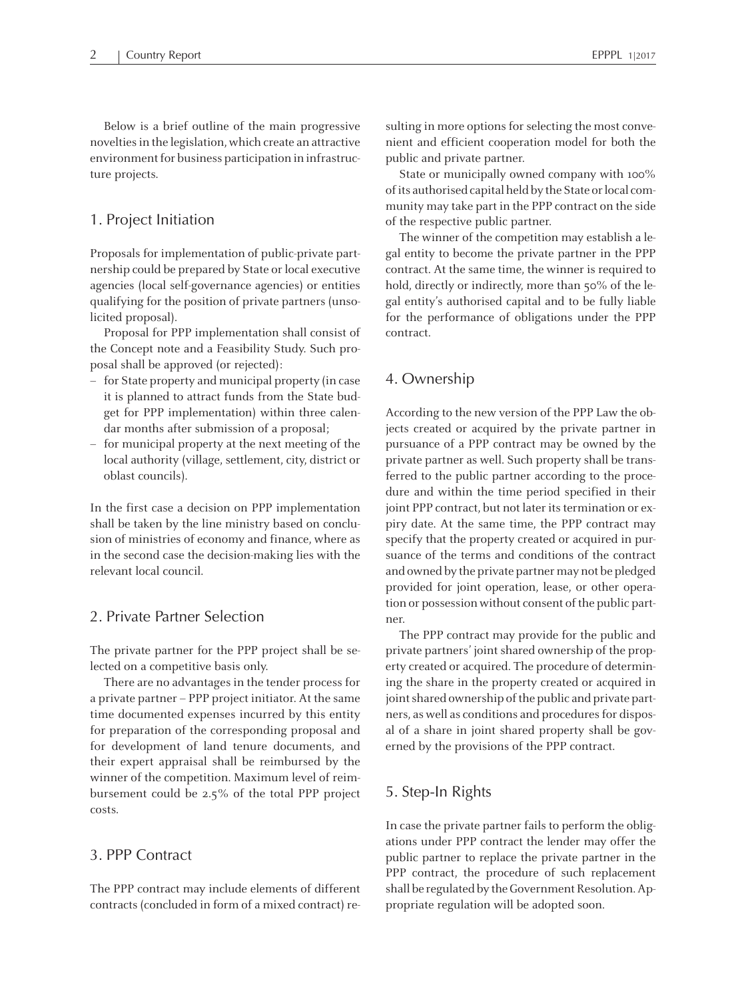Below is <sup>a</sup> brief outline of the main progressive noveltiesin the legislation, which create an attractive environment for business participation in infrastructure projects.

#### 1. Project Initiation

Proposals for implementation of public-private partnership could be prepared by State or local executive agencies (local self-governance agencies) or entities qualifying for the position of private partners (unsolicited proposal).

Proposal for PPP implementation shall consist of the Concept note and <sup>a</sup> Feasibility Study. Such proposal shall be approved (or rejected):

- for State property andmunicipal property (in case it is planned to attract funds from the State budge<sup>t</sup> for PPP implementation) within three calendar months after submission of <sup>a</sup> proposal;
- for municipal property at the next meeting of the local authority (village, settlement, city, district or oblast councils).

In the first case <sup>a</sup> decision on PPP implementation shall be taken by the line ministry based on conclusion of ministries of economy and finance, where as in the second case the decision-making lies with the relevant local council.

#### 2. Private Partner Selection

The private partner for the PPP project shall be selected on <sup>a</sup> competitive basis only.

There are no advantages in the tender process for <sup>a</sup> private partner – PPP project initiator. At the same time documented expenses incurred by this entity for preparation of the corresponding proposal and for development of land tenure documents, and their exper<sup>t</sup> appraisal shall be reimbursed by the winner of the competition. Maximum level of reimbursement could be 2.5% of the total PPP project costs.

# 3. PPP Contract

The PPP contract may include elements of different contracts(concluded in formof amixed contract) resulting in more options for selecting the most convenient and efficient cooperation model for both the public and private partner.

State or municipally owned company with 100% of its authorised capital held by the State or local communitymay take par<sup>t</sup> in the PPP contract on the side of the respective public partner.

The winner of the competition may establish <sup>a</sup> legal entity to become the private partner in the PPP contract. At the same time, the winner is required to hold, directly or indirectly, more than 50% of the legal entity's authorised capital and to be fully liable for the performance of obligations under the PPP contract.

#### 4. Ownership

According to the new version of the PPP Law the objects created or acquired by the private partner in pursuance of <sup>a</sup> PPP contract may be owned by the private partner as well. Such property shall be transferred to the public partner according to the procedure and within the time period specified in their joint PPP contract, but not later its termination or expiry date. At the same time, the PPP contract may specify that the property created or acquired in pursuance of the terms and conditions of the contract and owned by the private partner may not be pledged provided for joint operation, lease, or other operation or possession without consent of the public partner.

The PPP contract may provide for the public and private partners' joint shared ownership of the property created or acquired. The procedure of determining the share in the property created or acquired in joint shared ownership of the public and private partners, as well as conditions and procedures for disposal of <sup>a</sup> share in joint shared property shall be governed by the provisions of the PPP contract.

#### 5. Step-In Rights

In case the private partner fails to perform the obligations under PPP contract the lender may offer the public partner to replace the private partner in the PPP contract, the procedure of such replacement shall be regulated by the Government Resolution. Appropriate regulation will be adopted soon.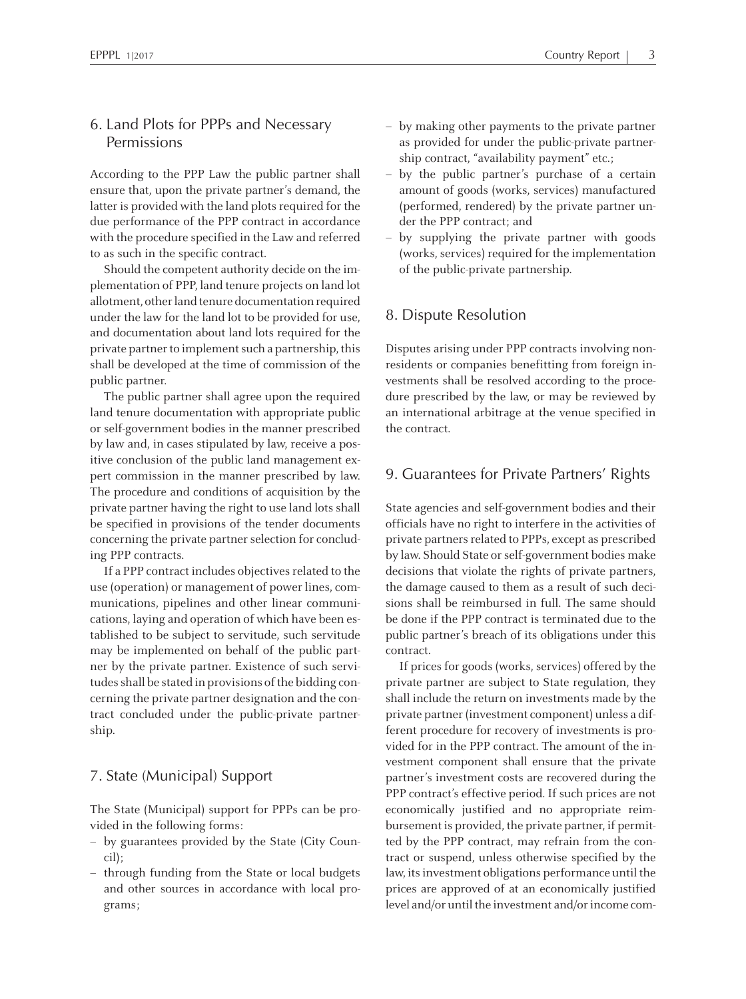# 6. Land Plots for PPPs and Necessary Permissions

According to the PPP Law the public partner shall ensure that, upon the private partner's demand, the latter is provided with the land plots required for the due performance of the PPP contract in accordance with the procedure specified in the Law and referred to as such in the specific contract.

Should the competent authority decide on the implementation of PPP, land tenure projects on land lot allotment, other land tenure documentation required under the law for the land lot to be provided for use, and documentation about land lots required for the private partner to implement such a partnership, this shall be developed at the time of commission of the public partner.

The public partner shall agree upon the required land tenure documentation with appropriate public or self-government bodies in the manner prescribed by law and, in cases stipulated by law, receive <sup>a</sup> positive conclusion of the public land managemen<sup>t</sup> exper<sup>t</sup> commission in the manner prescribed by law. The procedure and conditions of acquisition by the private partner having the right to use land lots shall be specified in provisions of the tender documents concerning the private partner selection for concluding PPP contracts.

If a PPP contract includes objectives related to the use (operation) or management of power lines, communications, pipelines and other linear communications, laying and operation of which have been established to be subject to servitude, such servitude may be implemented on behalf of the public partner by the private partner. Existence of such servitudes shall be stated in provisions of the bidding concerning the private partner designation and the contract concluded under the public-private partnership.

#### 7. State (Municipal) Support

The State (Municipal) suppor<sup>t</sup> for PPPs can be provided in the following forms:

- by guarantees provided by the State (City Council);
- through funding from the State or local budgets and other sources in accordance with local programs;
- by making other payments to the private partner as provided for under the public-private partnership contract, "availability payment" etc.;
- – by the public partner's purchase of <sup>a</sup> certain amount of goods (works, services) manufactured (performed, rendered) by the private partner under the PPP contract; and
- – by supplying the private partner with goods (works, services) required for the implementation of the public-private partnership.

#### 8. Dispute Resolution

Disputes arising under PPP contracts involving nonresidents or companies benefitting from foreign investments shall be resolved according to the procedure prescribed by the law, or may be reviewed by an international arbitrage at the venue specified in the contract.

#### 9. Guarantees for Private Partners' Rights

State agencies and self-government bodies and their officials have no right to interfere in the activities of private partners related to PPPs, except as prescribed by law. Should State or self-government bodies make decisions that violate the rights of private partners, the damage caused to them as <sup>a</sup> result of such decisions shall be reimbursed in full. The same should be done if the PPP contract is terminated due to the public partner's breach of its obligations under this contract.

If prices for goods (works, services) offered by the private partner are subject to State regulation, they shall include the return on investments made by the private partner (investment component) unless a different procedure for recovery of investments is provided for in the PPP contract. The amount of the investment componen<sup>t</sup> shall ensure that the private partner's investment costs are recovered during the PPP contract's effective period. If such prices are not economically justified and no appropriate reimbursement is provided, the private partner, if permitted by the PPP contract, may refrain from the contract or suspend, unless otherwise specified by the law, its investment obligations performance until the prices are approved of at an economically justified level and/or until the investment and/or income com